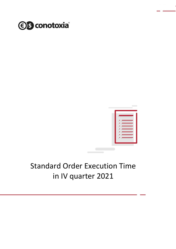



## Standard Order Execution Time in IV quarter 2021